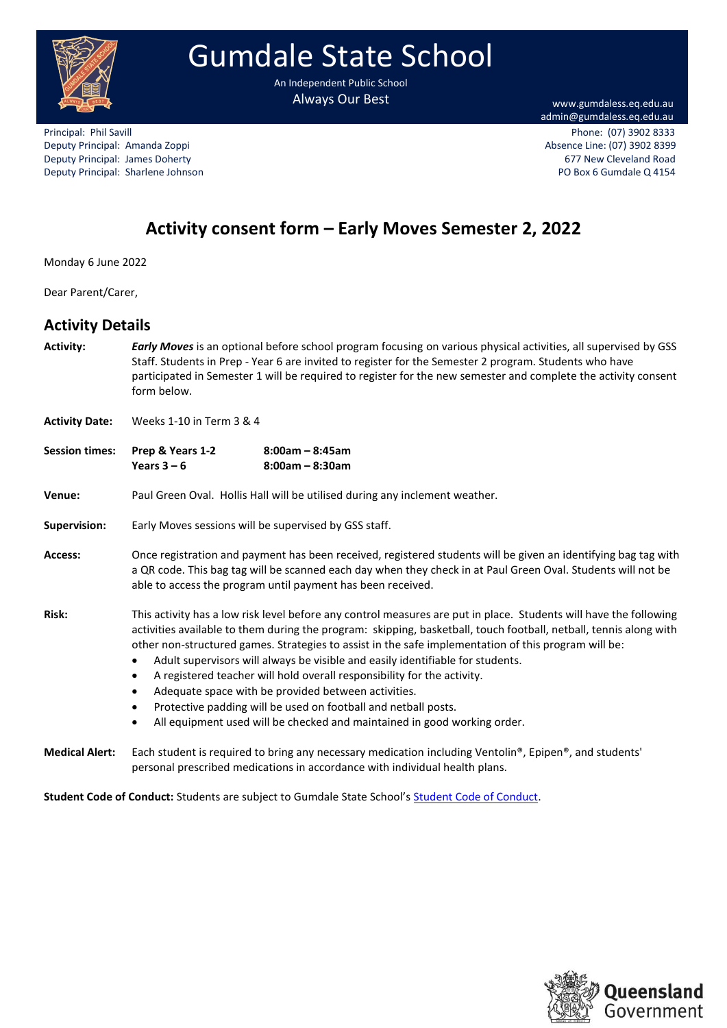

# Gumdale State School

An Independent Public School Always Our Best Walles and Ways Our Best Ways and Ways www.gumdaless.eq.edu.au

admin@gumdaless.eq.edu.au

Deputy Principal: Amanda Zoppi Absence Line: (07) 3902 8399 Deputy Principal: James Doherty **677 New Cleveland Road** 677 New Cleveland Road Deputy Principal: Sharlene Johnson PO Box 6 Gumdale Q 4154

Principal: Phil Savill Phone: (07) 3902 8333

# **Activity consent form – Early Moves Semester 2, 2022**

Monday 6 June 2022

Dear Parent/Carer,

### **Activity Details**

**Activity:** *Early Moves* is an optional before school program focusing on various physical activities, all supervised by GSS Staff. Students in Prep - Year 6 are invited to register for the Semester 2 program. Students who have participated in Semester 1 will be required to register for the new semester and complete the activity consent form below.

**Activity Date:** Weeks 1-10 in Term 3 & 4

| <b>Session times:</b> | Prep & Years 1-2 | $8:00$ am – $8:45$ am |  |
|-----------------------|------------------|-----------------------|--|
|                       | Years $3 - 6$    | $8:00$ am – $8:30$ am |  |

**Venue:** Paul Green Oval. Hollis Hall will be utilised during any inclement weather.

**Supervision:** Early Moves sessions will be supervised by GSS staff.

**Access:** Once registration and payment has been received, registered students will be given an identifying bag tag with a QR code. This bag tag will be scanned each day when they check in at Paul Green Oval. Students will not be able to access the program until payment has been received.

**Risk:** This activity has a low risk level before any control measures are put in place. Students will have the following activities available to them during the program: skipping, basketball, touch football, netball, tennis along with other non-structured games. Strategies to assist in the safe implementation of this program will be:

- Adult supervisors will always be visible and easily identifiable for students.
- A registered teacher will hold overall responsibility for the activity.
- Adequate space with be provided between activities.
- Protective padding will be used on football and netball posts.
- All equipment used will be checked and maintained in good working order.

**Student Code of Conduct:** Students are subject to Gumdale State School's [Student Code of Conduct.](https://gumdaless.eq.edu.au/SupportAndResources/FormsAndDocuments/Documents/Student%20Code%20of%20Conduct/student-code-of-conduct.pdf)



**Medical Alert:** Each student is required to bring any necessary medication including Ventolin®, Epipen®, and students' personal prescribed medications in accordance with individual health plans.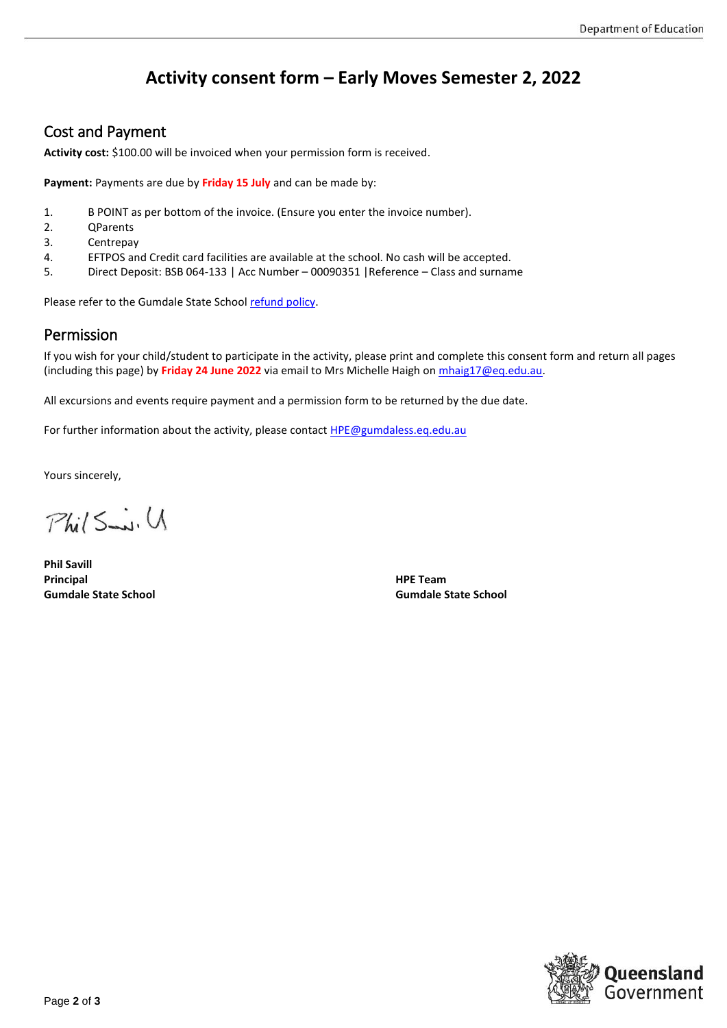# **Activity consent form – Early Moves Semester 2, 2022**

### Cost and Payment

**Activity cost:** \$100.00 will be invoiced when your permission form is received.

**Payment:** Payments are due by **Friday 15 July** and can be made by:

- 1. B POINT as per bottom of the invoice. (Ensure you enter the invoice number).
- 2. QParents
- 3. Centrepay
- 4. EFTPOS and Credit card facilities are available at the school. No cash will be accepted.
- 5. Direct Deposit: BSB 064-133 | Acc Number 00090351 |Reference Class and surname

Please refer to the Gumdale State School [refund policy.](https://gumdaless.eq.edu.au/SupportAndResources/FormsAndDocuments/Documents/Finance/parent-refund-policy.pdf#search=refund)

### Permission

If you wish for your child/student to participate in the activity, please print and complete this consent form and return all pages (including this page) by **Friday 24 June 2022** via email to Mrs Michelle Haigh o[n mhaig17@eq.edu.au.](mailto:mhaig17@eq.edu.au)

All excursions and events require payment and a permission form to be returned by the due date.

For further information about the activity, please contact **HPE@gumdaless.eq.edu.au** 

Yours sincerely,

 $Phi(5...i.U)$ 

**Phil Savill Principal HPE Team Gumdale State School Gumdale State School**